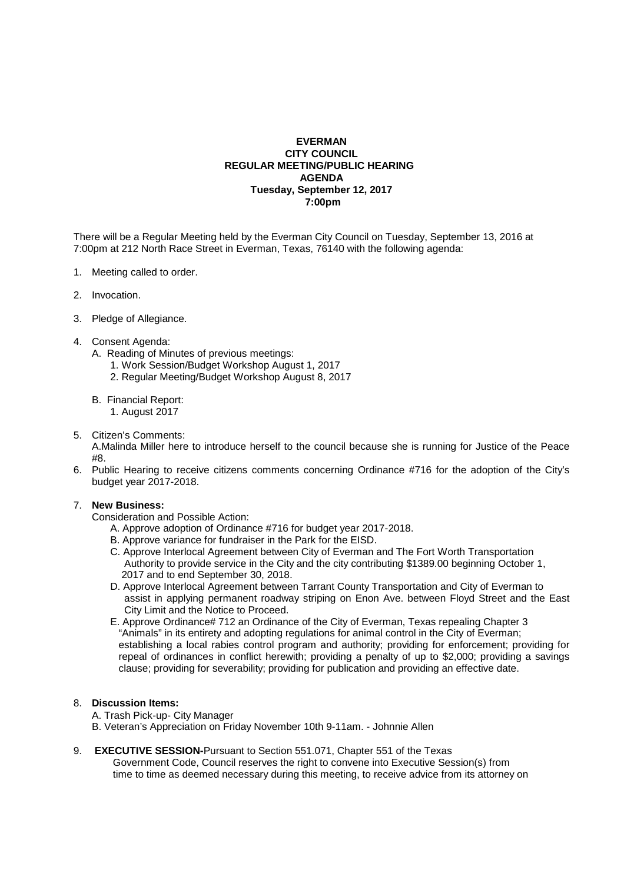## **EVERMAN CITY COUNCIL REGULAR MEETING/PUBLIC HEARING AGENDA Tuesday, September 12, 2017 7:00pm**

There will be a Regular Meeting held by the Everman City Council on Tuesday, September 13, 2016 at 7:00pm at 212 North Race Street in Everman, Texas, 76140 with the following agenda:

- 1. Meeting called to order.
- 2. Invocation.
- 3. Pledge of Allegiance.

#### 4. Consent Agenda:

- A. Reading of Minutes of previous meetings:
	- 1. Work Session/Budget Workshop August 1, 2017
	- 2. Regular Meeting/Budget Workshop August 8, 2017
- B. Financial Report:
	- 1. August 2017
- 5. Citizen's Comments: A.Malinda Miller here to introduce herself to the council because she is running for Justice of the Peace  $\rm\#R$
- 6. Public Hearing to receive citizens comments concerning Ordinance #716 for the adoption of the City's budget year 2017-2018.

### 7. **New Business:**

Consideration and Possible Action:

- A. Approve adoption of Ordinance #716 for budget year 2017-2018.
- B. Approve variance for fundraiser in the Park for the EISD.
- C. Approve Interlocal Agreement between City of Everman and The Fort Worth Transportation Authority to provide service in the City and the city contributing \$1389.00 beginning October 1, 2017 and to end September 30, 2018.
- D. Approve Interlocal Agreement between Tarrant County Transportation and City of Everman to assist in applying permanent roadway striping on Enon Ave. between Floyd Street and the East City Limit and the Notice to Proceed.
- E. Approve Ordinance# 712 an Ordinance of the City of Everman, Texas repealing Chapter 3 "Animals" in its entirety and adopting regulations for animal control in the City of Everman; establishing a local rabies control program and authority; providing for enforcement; providing for repeal of ordinances in conflict herewith; providing a penalty of up to \$2,000; providing a savings clause; providing for severability; providing for publication and providing an effective date.

## 8. **Discussion Items:**

- A. Trash Pick-up- City Manager
- B. Veteran's Appreciation on Friday November 10th 9-11am. Johnnie Allen
- 9. **EXECUTIVE SESSION-**Pursuant to Section 551.071, Chapter 551 of the Texas Government Code, Council reserves the right to convene into Executive Session(s) from time to time as deemed necessary during this meeting, to receive advice from its attorney on